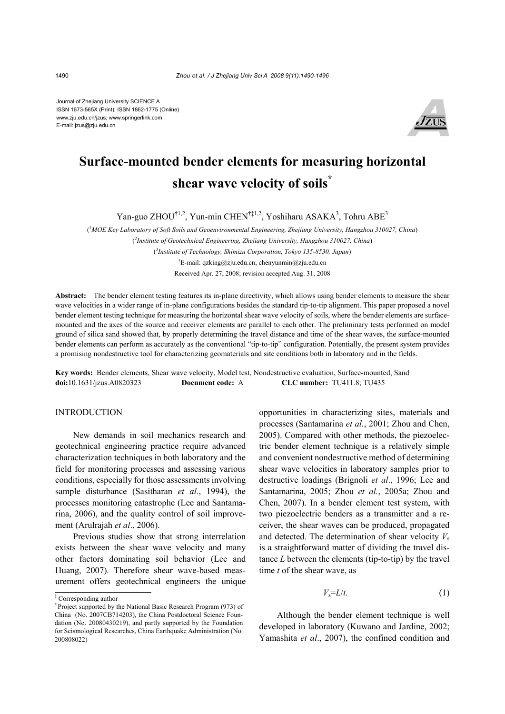Journal of Zhejiang University SCIENCE A ISSN 1673-565X (Print); ISSN 1862-1775 (Online) www.zju.edu.cn/jzus; www.springerlink.com E-mail: jzus@zju.edu.cn



# **Surface-mounted bender elements for measuring horizontal shear wave velocity of soils\***

Yan-guo ZHOU<sup>†1,2</sup>, Yun-min CHEN<sup>†‡1,2</sup>, Yoshiharu ASAKA<sup>3</sup>, Tohru ABE<sup>3</sup>

( *1 MOE Key Laboratory of Soft Soils and Geoenvironmental Engineering, Zhejiang University, Hangzhou 310027, China*) ( *2 Institute of Geotechnical Engineering, Zhejiang University, Hangzhou 310027, China*) ( *3 Institute of Technology, Shimizu Corporation, Tokyo 135-8530, Japan*) † E-mail: qzking@zju.edu.cn; chenyunmin@zju.edu.cn Received Apr. 27, 2008; revision accepted Aug. 31, 2008

Abstract: The bender element testing features its in-plane directivity, which allows using bender elements to measure the shear wave velocities in a wider range of in-plane configurations besides the standard tip-to-tip alignment. This paper proposed a novel bender element testing technique for measuring the horizontal shear wave velocity of soils, where the bender elements are surfacemounted and the axes of the source and receiver elements are parallel to each other. The preliminary tests performed on model ground of silica sand showed that, by properly determining the travel distance and time of the shear waves, the surface-mounted bender elements can perform as accurately as the conventional "tip-to-tip" configuration. Potentially, the present system provides a promising nondestructive tool for characterizing geomaterials and site conditions both in laboratory and in the fields.

**Key words:** Bender elements, Shear wave velocity, Model test, Nondestructive evaluation, Surface-mounted, Sand **doi:**10.1631/jzus.A0820323 **Document code:** A **CLC number:** TU411.8; TU435

## **INTRODUCTION**

New demands in soil mechanics research and geotechnical engineering practice require advanced characterization techniques in both laboratory and the field for monitoring processes and assessing various conditions, especially for those assessments involving sample disturbance (Sasitharan *et al*., 1994), the processes monitoring catastrophe (Lee and Santamarina, 2006), and the quality control of soil improvement (Arulrajah *et al*., 2006).

Previous studies show that strong interrelation exists between the shear wave velocity and many other factors dominating soil behavior (Lee and Huang, 2007). Therefore shear wave-based measurement offers geotechnical engineers the unique opportunities in characterizing sites, materials and processes (Santamarina *et al.*, 2001; Zhou and Chen, 2005). Compared with other methods, the piezoelectric bender element technique is a relatively simple and convenient nondestructive method of determining shear wave velocities in laboratory samples prior to destructive loadings (Brignoli *et al*., 1996; Lee and Santamarina, 2005; Zhou *et al.*, 2005a; Zhou and Chen, 2007). In a bender element test system, with two piezoelectric benders as a transmitter and a receiver, the shear waves can be produced, propagated and detected. The determination of shear velocity  $V_s$ is a straightforward matter of dividing the travel distance *L* between the elements (tip-to-tip) by the travel time *t* of the shear wave, as

$$
V_{\rm s} = L/t. \tag{1}
$$

Although the bender element technique is well developed in laboratory (Kuwano and Jardine, 2002; Yamashita *et al*., 2007), the confined condition and

<sup>‡</sup> Corresponding author

<sup>\*</sup> Project supported by the National Basic Research Program (973) of China (No. 2007CB714203), the China Postdoctoral Science Foundation (No. 20080430219), and partly supported by the Foundation for Seismological Researches, China Earthquake Administration (No. 200808022)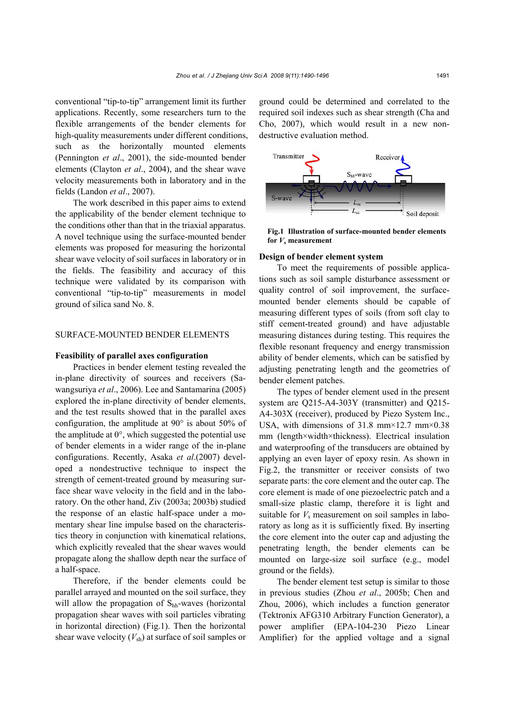conventional "tip-to-tip" arrangement limit its further applications. Recently, some researchers turn to the flexible arrangements of the bender elements for high-quality measurements under different conditions, such as the horizontally mounted elements (Pennington *et al*., 2001), the side-mounted bender elements (Clayton *et al*., 2004), and the shear wave velocity measurements both in laboratory and in the fields (Landon *et al*., 2007).

The work described in this paper aims to extend the applicability of the bender element technique to the conditions other than that in the triaxial apparatus. A novel technique using the surface-mounted bender elements was proposed for measuring the horizontal shear wave velocity of soil surfaces in laboratory or in the fields. The feasibility and accuracy of this technique were validated by its comparison with conventional "tip-to-tip" measurements in model ground of silica sand No. 8.

### SURFACE-MOUNTED BENDER ELEMENTS

#### **Feasibility of parallel axes configuration**

Practices in bender element testing revealed the in-plane directivity of sources and receivers (Sawangsuriya *et al*., 2006). Lee and Santamarina (2005) explored the in-plane directivity of bender elements, and the test results showed that in the parallel axes configuration, the amplitude at 90° is about 50% of the amplitude at 0°, which suggested the potential use of bender elements in a wider range of the in-plane configurations. Recently, Asaka *et al*.(2007) developed a nondestructive technique to inspect the strength of cement-treated ground by measuring surface shear wave velocity in the field and in the laboratory. On the other hand, Ziv (2003a; 2003b) studied the response of an elastic half-space under a momentary shear line impulse based on the characteristics theory in conjunction with kinematical relations, which explicitly revealed that the shear waves would propagate along the shallow depth near the surface of a half-space.

Therefore, if the bender elements could be parallel arrayed and mounted on the soil surface, they will allow the propagation of  $S<sub>hh</sub>$ -waves (horizontal propagation shear waves with soil particles vibrating in horizontal direction) (Fig.1). Then the horizontal shear wave velocity  $(V_{sh})$  at surface of soil samples or

ground could be determined and correlated to the required soil indexes such as shear strength (Cha and Cho, 2007), which would result in a new nondestructive evaluation method.



**Fig.1 Illustration of surface-mounted bender elements for** *V***s measurement** 

#### **Design of bender element system**

To meet the requirements of possible applications such as soil sample disturbance assessment or quality control of soil improvement, the surfacemounted bender elements should be capable of measuring different types of soils (from soft clay to stiff cement-treated ground) and have adjustable measuring distances during testing. This requires the flexible resonant frequency and energy transmission ability of bender elements, which can be satisfied by adjusting penetrating length and the geometries of bender element patches.

The types of bender element used in the present system are Q215-A4-303Y (transmitter) and Q215- A4-303X (receiver), produced by Piezo System Inc., USA, with dimensions of 31.8 mm×12.7 mm×0.38 mm (length×width×thickness). Electrical insulation and waterproofing of the transducers are obtained by applying an even layer of epoxy resin. As shown in Fig.2, the transmitter or receiver consists of two separate parts: the core element and the outer cap. The core element is made of one piezoelectric patch and a small-size plastic clamp, therefore it is light and suitable for  $V_s$  measurement on soil samples in laboratory as long as it is sufficiently fixed. By inserting the core element into the outer cap and adjusting the penetrating length, the bender elements can be mounted on large-size soil surface (e.g., model ground or the fields).

The bender element test setup is similar to those in previous studies (Zhou *et al*., 2005b; Chen and Zhou, 2006), which includes a function generator (Tektronix AFG310 Arbitrary Function Generator), a power amplifier (EPA-104-230 Piezo Linear Amplifier) for the applied voltage and a signal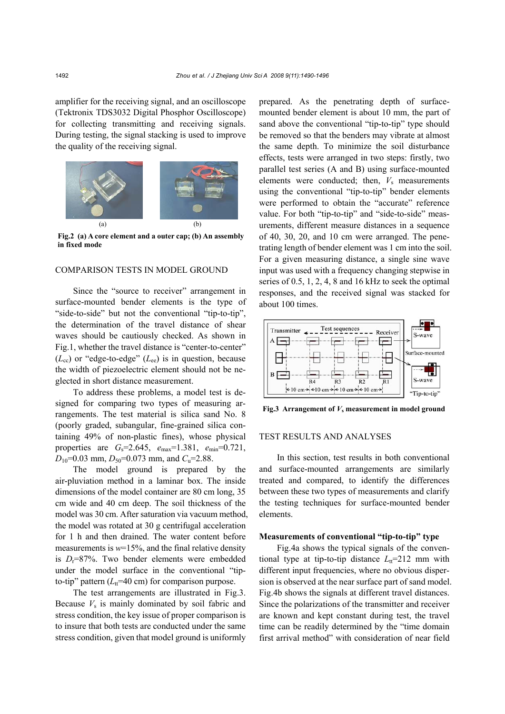amplifier for the receiving signal, and an oscilloscope (Tektronix TDS3032 Digital Phosphor Oscilloscope) for collecting transmitting and receiving signals. During testing, the signal stacking is used to improve the quality of the receiving signal.



**Fig.2 (a) A core element and a outer cap; (b) An assembly in fixed mode** 

### COMPARISON TESTS IN MODEL GROUND

Since the "source to receiver" arrangement in surface-mounted bender elements is the type of "side-to-side" but not the conventional "tip-to-tip", the determination of the travel distance of shear waves should be cautiously checked. As shown in Fig.1, whether the travel distance is "center-to-center"  $(L_{\rm cc})$  or "edge-to-edge"  $(L_{\rm ee})$  is in question, because the width of piezoelectric element should not be neglected in short distance measurement.

To address these problems, a model test is designed for comparing two types of measuring arrangements. The test material is silica sand No. 8 (poorly graded, subangular, fine-grained silica containing 49% of non-plastic fines), whose physical properties are *G*s=2.645, *e*max=1.381, *e*min=0.721,  $D_{10}$ =0.03 mm,  $D_{50}$ =0.073 mm, and  $C_u$ =2.88.

The model ground is prepared by the air-pluviation method in a laminar box. The inside dimensions of the model container are 80 cm long, 35 cm wide and 40 cm deep. The soil thickness of the model was 30 cm. After saturation via vacuum method, the model was rotated at 30 g centrifugal acceleration for 1 h and then drained. The water content before measurements is  $w=15\%$ , and the final relative density is *D*r=87%. Two bender elements were embedded under the model surface in the conventional "tipto-tip" pattern  $(L<sub>tt</sub>=40$  cm) for comparison purpose.

The test arrangements are illustrated in Fig.3. Because  $V<sub>s</sub>$  is mainly dominated by soil fabric and stress condition, the key issue of proper comparison is to insure that both tests are conducted under the same stress condition, given that model ground is uniformly prepared. As the penetrating depth of surfacemounted bender element is about 10 mm, the part of sand above the conventional "tip-to-tip" type should be removed so that the benders may vibrate at almost the same depth. To minimize the soil disturbance effects, tests were arranged in two steps: firstly, two parallel test series (A and B) using surface-mounted elements were conducted; then, *V*s measurements using the conventional "tip-to-tip" bender elements were performed to obtain the "accurate" reference value. For both "tip-to-tip" and "side-to-side" measurements, different measure distances in a sequence of 40, 30, 20, and 10 cm were arranged. The penetrating length of bender element was 1 cm into the soil. For a given measuring distance, a single sine wave input was used with a frequency changing stepwise in series of 0.5, 1, 2, 4, 8 and 16 kHz to seek the optimal responses, and the received signal was stacked for about 100 times.



**Fig.3 Arrangement of** *V***s measurement in model ground**

#### TEST RESULTS AND ANALYSES

In this section, test results in both conventional and surface-mounted arrangements are similarly treated and compared, to identify the differences between these two types of measurements and clarify the testing techniques for surface-mounted bender elements.

#### **Measurements of conventional "tip-to-tip" type**

Fig.4a shows the typical signals of the conventional type at tip-to-tip distance  $L<sub>tt</sub>=212$  mm with different input frequencies, where no obvious dispersion is observed at the near surface part of sand model. Fig.4b shows the signals at different travel distances. Since the polarizations of the transmitter and receiver are known and kept constant during test, the travel time can be readily determined by the "time domain first arrival method" with consideration of near field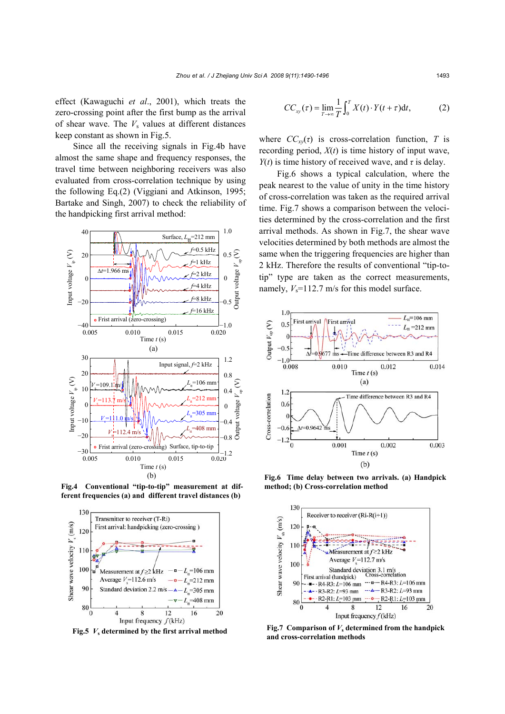effect (Kawaguchi *et al*., 2001), which treats the zero-crossing point after the first bump as the arrival of shear wave. The  $V_s$  values at different distances keep constant as shown in Fig.5.

Since all the receiving signals in Fig.4b have almost the same shape and frequency responses, the travel time between neighboring receivers was also evaluated from cross-correlation technique by using the following Eq.(2) (Viggiani and Atkinson, 1995; Bartake and Singh, 2007) to check the reliability of the handpicking first arrival method:



**Fig.4 Conventional "tip-to-tip" measurement at different frequencies (a) and different travel distances (b)**



**Fig.5**  $V_s$  determined by the first arrival method

$$
CC_{xy}(\tau) = \lim_{T \to \infty} \frac{1}{T} \int_0^T X(t) \cdot Y(t + \tau) dt,
$$
 (2)

where  $CC_{xy}(\tau)$  is cross-correlation function, *T* is recording period,  $X(t)$  is time history of input wave, *Y*(*t*) is time history of received wave, and  $\tau$  is delay.

Fig.6 shows a typical calculation, where the peak nearest to the value of unity in the time history of cross-correlation was taken as the required arrival time. Fig.7 shows a comparison between the velocities determined by the cross-correlation and the first arrival methods. As shown in Fig.7, the shear wave velocities determined by both methods are almost the same when the triggering frequencies are higher than 2 kHz. Therefore the results of conventional "tip-totip" type are taken as the correct measurements, namely,  $V_s$ =112.7 m/s for this model surface.



**Fig.6 Time delay between two arrivals. (a) Handpick method; (b) Cross-correlation method** 



**Fig.7 Comparison of** *V***s determined from the handpick and cross-correlation methods**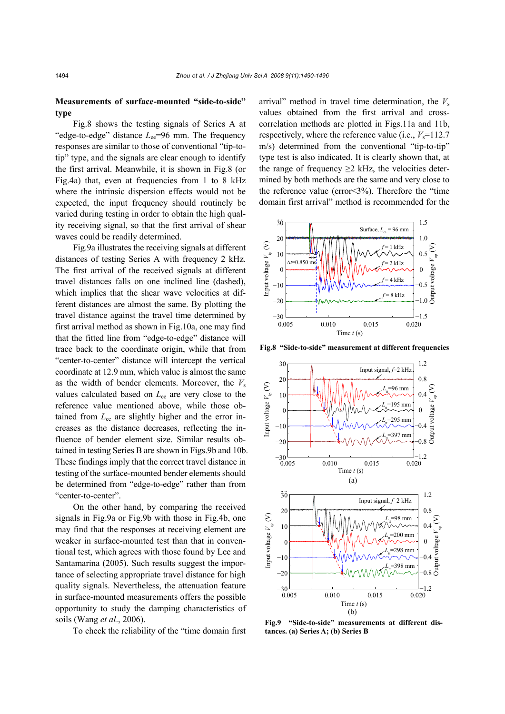## **Measurements of surface-mounted "side-to-side" type**

Fig.8 shows the testing signals of Series A at "edge-to-edge" distance *L*<sub>ee</sub>=96 mm. The frequency responses are similar to those of conventional "tip-totip" type, and the signals are clear enough to identify the first arrival. Meanwhile, it is shown in Fig.8 (or Fig.4a) that, even at frequencies from 1 to 8 kHz where the intrinsic dispersion effects would not be expected, the input frequency should routinely be varied during testing in order to obtain the high quality receiving signal, so that the first arrival of shear waves could be readily determined.

Fig.9a illustrates the receiving signals at different distances of testing Series A with frequency 2 kHz. The first arrival of the received signals at different travel distances falls on one inclined line (dashed), which implies that the shear wave velocities at different distances are almost the same. By plotting the travel distance against the travel time determined by first arrival method as shown in Fig.10a, one may find that the fitted line from "edge-to-edge" distance will trace back to the coordinate origin, while that from "center-to-center" distance will intercept the vertical coordinate at 12.9 mm, which value is almost the same as the width of bender elements. Moreover, the  $V_s$ values calculated based on *L*ee are very close to the reference value mentioned above, while those obtained from  $L_{cc}$  are slightly higher and the error increases as the distance decreases, reflecting the influence of bender element size. Similar results obtained in testing Series B are shown in Figs.9b and 10b. These findings imply that the correct travel distance in testing of the surface-mounted bender elements should be determined from "edge-to-edge" rather than from "center-to-center".

On the other hand, by comparing the received signals in Fig.9a or Fig.9b with those in Fig.4b, one may find that the responses at receiving element are weaker in surface-mounted test than that in conventional test, which agrees with those found by Lee and Santamarina (2005). Such results suggest the importance of selecting appropriate travel distance for high quality signals. Nevertheless, the attenuation feature in surface-mounted measurements offers the possible opportunity to study the damping characteristics of soils (Wang *et al*., 2006).

To check the reliability of the "time domain first

arrival" method in travel time determination, the  $V_s$ values obtained from the first arrival and crosscorrelation methods are plotted in Figs.11a and 11b, respectively, where the reference value (i.e.,  $V_s$ =112.7 m/s) determined from the conventional "tip-to-tip" type test is also indicated. It is clearly shown that, at the range of frequency  $\geq 2$  kHz, the velocities determined by both methods are the same and very close to the reference value (error<3%). Therefore the "time domain first arrival" method is recommended for the



**Fig.8 "Side-to-side" measurement at different frequencies**



**Fig.9 "Side-to-side" measurements at different distances. (a) Series A; (b) Series B**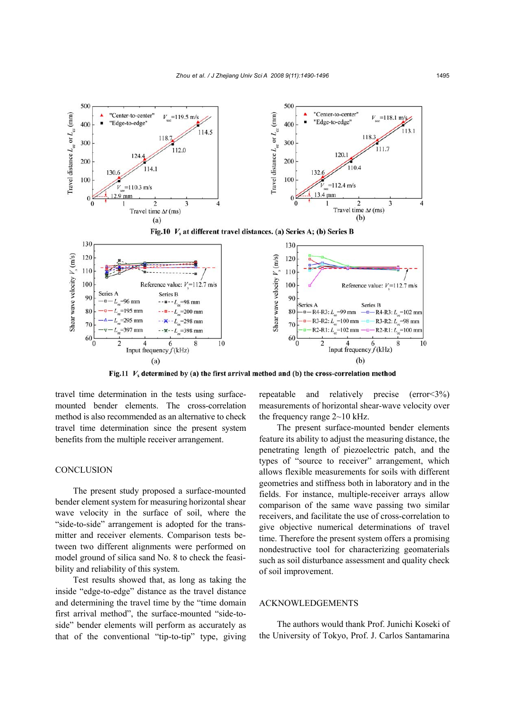

Fig.11  $V_s$  determined by (a) the first arrival method and (b) the cross-correlation method

travel time determination in the tests using surfacemounted bender elements. The cross-correlation method is also recommended as an alternative to check travel time determination since the present system benefits from the multiple receiver arrangement.

## **CONCLUSION**

The present study proposed a surface-mounted bender element system for measuring horizontal shear wave velocity in the surface of soil, where the "side-to-side" arrangement is adopted for the transmitter and receiver elements. Comparison tests between two different alignments were performed on model ground of silica sand No. 8 to check the feasibility and reliability of this system.

Test results showed that, as long as taking the inside "edge-to-edge" distance as the travel distance and determining the travel time by the "time domain first arrival method", the surface-mounted "side-toside" bender elements will perform as accurately as that of the conventional "tip-to-tip" type, giving repeatable and relatively precise (error<3%) measurements of horizontal shear-wave velocity over the frequency range 2~10 kHz.

The present surface-mounted bender elements feature its ability to adjust the measuring distance, the penetrating length of piezoelectric patch, and the types of "source to receiver" arrangement, which allows flexible measurements for soils with different geometries and stiffness both in laboratory and in the fields. For instance, multiple-receiver arrays allow comparison of the same wave passing two similar receivers, and facilitate the use of cross-correlation to give objective numerical determinations of travel time. Therefore the present system offers a promising nondestructive tool for characterizing geomaterials such as soil disturbance assessment and quality check of soil improvement.

#### ACKNOWLEDGEMENTS

The authors would thank Prof. Junichi Koseki of the University of Tokyo, Prof. J. Carlos Santamarina